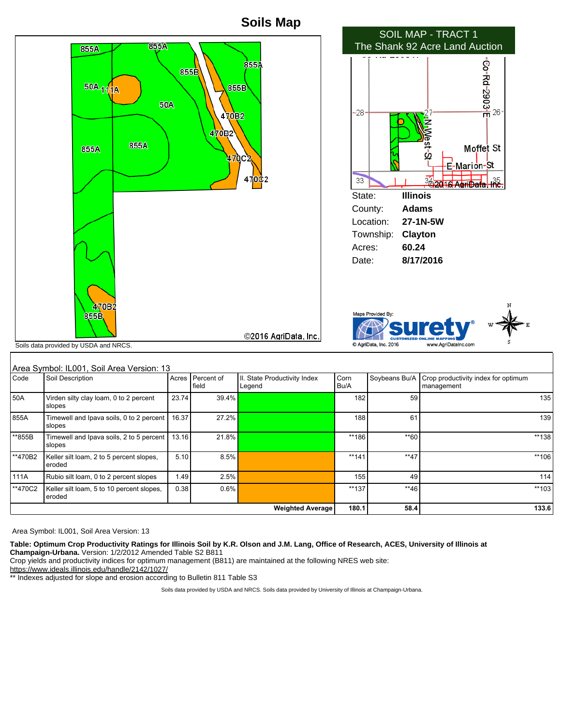

| Area Symbol: IL001, Soil Area Version: 13 |  |
|-------------------------------------------|--|

\*\*855B Timewell and Ipava soils, 2 to 5 percent

\*\*470B2 | Keller silt loam, 2 to 5 percent slopes,

\*\*470C2 Keller silt loam, 5 to 10 percent slopes,

slopes

eroded

eroded

**Table: Optimum Crop Productivity Ratings for Illinois Soil by K.R. Olson and J.M. Lang, Office of Research, ACES, University of Illinois at Champaign-Urbana.** Version: 1/2/2012 Amended Table S2 B811

Crop yields and productivity indices for optimum management (B811) are maintained at the following NRES web site:

https://www.ideals.illinois.edu/handle/2142/1027/

\*\* Indexes adjusted for slope and erosion according to Bulletin 811 Table S3

Soils data provided by USDA and NRCS. Soils data provided by University of Illinois at Champaign-Urbana.

111A Rubio silt loam, 0 to 2 percent slopes 1.49 2.5% 155 155 49 2.5% 114

13.16 | 21.8% | 21.8% \*\*\* | \*\*186 | \*\*186 \*\*\* | \*\*186 | \*\*\* | 21.8% | \*\*\*138

5.10 8.5% \*\*\* 106 \*\*\* 141 \*\*\* 141 \*\*\* 141 \*\*\* 17 \*\*\* 106 \*\*\* 106 \*\*\* 106 \*\*\* 106

0.38 0.6% \*\*137 \*\*46 \*\*103

**Weighted Average 180.1 58.4 133.6**